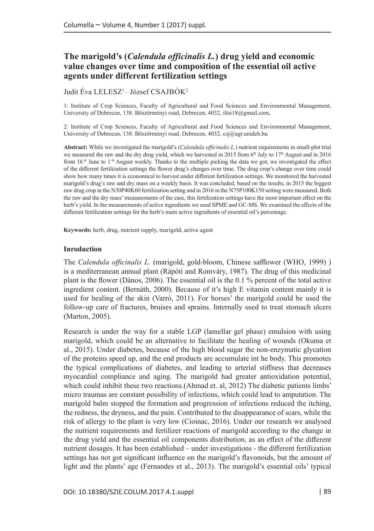# **The marigold's (***Calendula officinalis L.***) drug yield and economic value changes over time and composition of the essential oil active agents under different fertilization settings**

## Judit Éva LELESZ<sup>1</sup> – József CSAJBÓK<sup>2</sup>

1: Institute of Crop Sciences, Faculty of Agricultural and Food Sciences and Environmental Management, University of Debrecen, 138. Böszörményi road, Debrecen, 4032, iltsi18@gmail.com,

2: Institute of Crop Sciences, Faculty of Agricultural and Food Sciences and Environmental Management, University of Debrecen, 138. Böszörményi road, Debrecen, 4032, csj@agr.unideb.hu

**Abstract:** While we investigated the marigold's (*Calendula officinalis L.*) nutrient requirements in small-plot trial we measured the raw and the dry drug yield, which we harvested in 2015 from 6<sup>th</sup> July to 17<sup>th</sup> August and in 2016 from 16 th June to 1 th August weekly. Thanks to the multiple picking the data we got, we investigated the effect of the different fertilization settings the flower drug's changes over time. The drug crop's change over time could show how many times it is economical to harvest under different fertilization settings. We monitored the harvested marigold's drug's raw and dry mass on a weekly basis. It was concluded, based on the results, in 2015 the biggest raw drug crop in the N30P40K60 fertilization setting and in 2016 in the N75P100K150 setting were measured. Both the raw and the dry mass' measurements of the case, this fertilization settings have the most important effect on the herb's yield. In the measurements of active ingredients we used SPME and GC-MS. We examined the effects of the different fertilization settings for the herb's main active ingredients of essential oil's percentage.

**Keywords:** herb, drug, nutrient supply, marigold, active agent

#### **Inroduction**

The *Calendula officinalis L.* (marigold, gold-bloom, Chinese safflower (WHO, 1999) ) is a mediterranean annual plant (Rápóti and Romváry, 1987). The drug of this medicinal plant is the flower (Dános, 2006). The essential oil is the 0.1 % percent of the total active ingredient content. (Bernáth, 2000). Because of it's high E vitamin content mainly it is used for healing of the skin (Varró, 2011). For horses' the marigold could be used the follow-up care of fractures, bruises and sprains. Internally used to treat stomach ulcers (Marton, 2005).

Research is under the way for a stable LGP (lamellar gel phase) emulsion with using marigold, which could be an alternative to facilitate the healing of wounds (Okuma et al., 2015). Under diabetes, because of the high blood sugar the non-enzymatic glycation of the proteins speed up, and the end products are accumulate int he body. This promotes the typical complications of diabetes, and leading to arterial stiffness that decreases myocardial compliance and aging. The marigold had greater antioxidation potential, which could inhibit these two reactions. (Ahmad et. al, 2012) The diabetic patients limbs' micro traumas are constant possibility of infections, which could lead to amputation. The marigold balm stopped the formation and progression of infections reduced the itching, the redness, the dryness, and the pain. Contributed to the disappearance of scars, while the risk of allergy to the plant is very low (Cioinac, 2016). Under our research we analysed the nutrient requirements and fertilizer reactions of marigold according to the change in the drug yield and the essential oil components distribution, as an effect of the different nutrient dosages. It has been established – under investigations - the different fertilization settings has not got significant influence on the marigold's flavonoids, but the amount of light and the plants' age (Fernandes et al., 2013). The marigold's essential oils' typical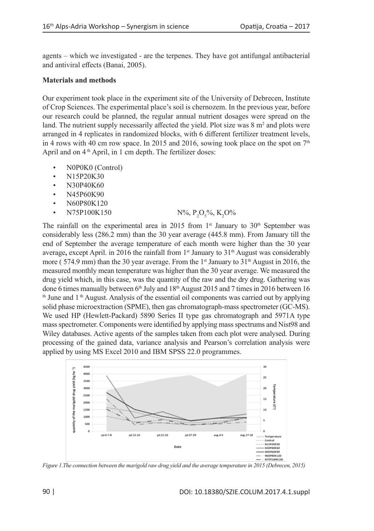agents – which we investigated - are the terpenes. They have got antifungal antibacterial and antiviral effects (Banai, 2005).

### **Materials and methods**

Our experiment took place in the experiment site of the University of Debrecen, Institute of Crop Sciences. The experimental place's soil is chernozem. In the previous year, before our research could be planned, the regular annual nutrient dosages were spread on the land. The nutrient supply necessarily affected the yield. Plot size was  $8 \text{ m}^2$  and plots were arranged in 4 replicates in randomized blocks, with 6 different fertilizer treatment levels, in 4 rows with 40 cm row space. In 2015 and 2016, sowing took place on the spot on  $7<sup>th</sup>$ April and on 4<sup>th</sup> April, in 1 cm depth. The fertilizer doses:

- N0P0K0 (Control)
- N15P20K30
- N30P40K60
- N45P60K90
- N60P80K120
- N75P100K150

 $O_5\%$ , K<sub>2</sub>O%

The rainfall on the experimental area in 2015 from  $1<sup>st</sup>$  January to 30<sup>th</sup> September was considerably less (286.2 mm) than the 30 year average (445.8 mm). From January till the end of September the average temperature of each month were higher than the 30 year average, except April. in 2016 the rainfall from 1<sup>st</sup> January to 31<sup>th</sup> August was considerably more (574.9 mm) than the 30 year average. From the 1<sup>st</sup> January to  $31<sup>th</sup>$  August in 2016, the measured monthly mean temperature was higher than the 30 year average. We measured the drug yield which, in this case, was the quantity of the raw and the dry drug. Gathering was done 6 times manually between  $6<sup>th</sup>$  July and  $18<sup>th</sup>$  August 2015 and 7 times in 2016 between 16  $<sup>th</sup>$  June and 1<sup>th</sup> August. Analysis of the essential oil components was carried out by applying</sup> solid phase microextraction (SPME), then gas chromatograph-mass spectrometer (GC-MS). We used HP (Hewlett-Packard) 5890 Series II type gas chromatograph and 5971A type mass spectrometer. Components were identified by applying mass spectrums and Nist98 and Wiley databases. Active agents of the samples taken from each plot were analysed. During processing of the gained data, variance analysis and Pearson's correlation analysis were applied by using MS Excel 2010 and IBM SPSS 22.0 programmes.



*Figure 1.The connection between the marigold raw drug yield and the average temperature in 2015 (Debrecen, 2015)*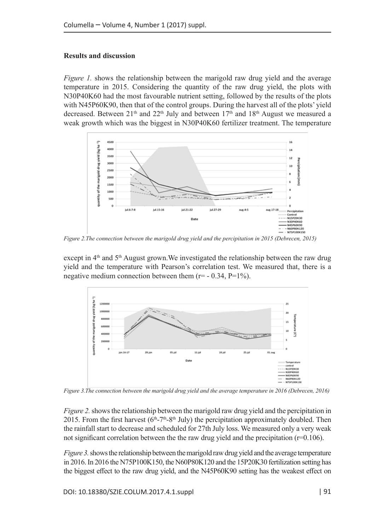### **Results and discussion**

*Figure 1.* shows the relationship between the marigold raw drug yield and the average temperature in 2015. Considering the quantity of the raw drug yield, the plots with N30P40K60 had the most favourable nutrient setting, followed by the results of the plots with N45P60K90, then that of the control groups. During the harvest all of the plots' yield decreased. Between 21<sup>th</sup> and 22<sup>th</sup> July and between 17<sup>th</sup> and 18<sup>th</sup> August we measured a weak growth which was the biggest in N30P40K60 fertilizer treatment. The temperature



*Figure 2.The connection between the marigold drug yield and the percipitation in 2015 (Debrecen, 2015)*

except in  $4<sup>th</sup>$  and  $5<sup>th</sup>$  August grown. We investigated the relationship between the raw drug yield and the temperature with Pearson's correlation test. We measured that, there is a negative medium connection between them  $(r= -0.34, P=1\%)$ .



*Figure 3.The connection between the marigold drug yield and the average temperature in 2016 (Debrecen, 2016)*

*Figure 2.* shows the relationship between the marigold raw drug yield and the percipitation in 2015. From the first harvest ( $6<sup>th</sup> - 7<sup>th</sup> - 8<sup>th</sup>$  July) the percipitation approximately doubled. Then the rainfall start to decrease and scheduled for 27th July loss. We measured only a very weak not significant correlation between the the raw drug yield and the precipitation ( $r=0.106$ ).

*Figure 3.* shows the relationship between the marigold raw drug yield and the average temperature in 2016. In 2016 the N75P100K150, the N60P80K120 and the 15P20K30 fertilization setting has the biggest effect to the raw drug yield, and the N45P60K90 setting has the weakest effect on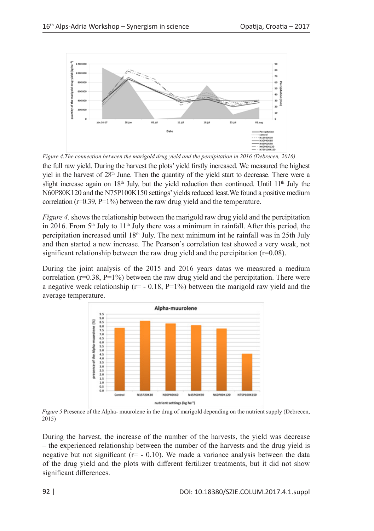

the full raw yield. During the harvest the plots' yield firstly increased. We measured the highest yiel in the harvest of 28th June. Then the quantity of the yield start to decrease. There were a slight increase again on  $18<sup>th</sup>$  July, but the yield reduction then continued. Until  $11<sup>th</sup>$  July the N60P80K120 and the N75P100K150 settings' yields reduced least.We found a positive medium correlation ( $r=0.39$ ,  $P=1\%$ ) between the raw drug yield and the temperature. *Figure 4.The connection between the marigold drug yield and the percipitation in 2016 (Debrecen, 2016)*

*Figure 4.* shows the relationship between the marigold raw drug yield and the percipitation in 2016. From  $5<sup>th</sup>$  July to  $11<sup>th</sup>$  July there was a minimum in rainfall. After this period, the percipitation increased until  $18<sup>th</sup>$  July. The next minimum int he rainfall was in 25th July and then started a new increase. The Pearson's correlation test showed a very weak, not significant relationship between the raw drug yield and the percipitation  $(r=0.08)$ .

During the joint analysis of the 2015 and 2016 years datas we measured a medium correlation ( $r=0.38$ ,  $P=1\%$ ) between the raw drug yield and the percipitation. There were a negative weak relationship ( $r = -0.18$ ,  $P=1\%$ ) between the marigold raw yield and the average temperature.



*Figure 5* Presence of the Alpha- muurolene in the drug of marigold depending on the nutrient supply (Debrecen, 2015)

During the harvest, the increase of the number of the harvests, the yield was decrease – the experienced relationship between the number of the harvests and the drug yield is negative but not significant ( $r=-0.10$ ). We made a variance analysis between the data of the drug yield and the plots with different fertilizer treatments, but it did not show significant differences.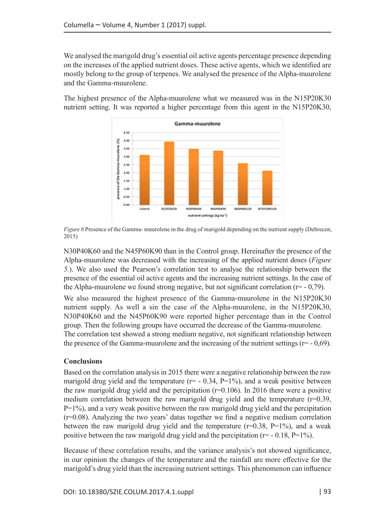We analysed the marigold drug's essential oil active agents percentage presence depending on the increases of the applied nutrient doses. These active agents, which we identified are mostly belong to the group of terpenes. We analysed the presence of the Alpha-muurolene and the Gamma-muurolene.

The highest presence of the Alpha-muurolene what we measured was in the N15P20K30 nutrient setting. It was reported a higher percentage from this agent in the N15P20K30,



*Figure 6* Presence of the Gamma- muurolene in the drug of marigold depending on the nutrient supply (Debrecen, 2015)

N30P40K60 and the N45P60K90 than in the Control group. Hereinafter the presence of the Alpha-muurolene was decreased with the increasing of the applied nutrient doses (*Figure 5.*). We also used the Pearson's correlation test to analyse the relationship between the presence of the essential oil active agents and the increasing nutrient settings. In the case of the Alpha-muurolene we found strong negative, but not significant correlation ( $r=$  - 0,79).

We also measured the highest presence of the Gamma-muurolene in the N15P20K30 nutrient supply. As well a sin the case of the Alpha-muurolene, in the N15P20K30, N30P40K60 and the N45P60K90 were reported higher percentage than in the Control group. Then the following groups have occurred the decrease of the Gamma-muurolene. The correlation test showed a strong medium negative, not significant relationship between the presence of the Gamma-muurolene and the increasing of the nutrient settings ( $r=-0.69$ ).

## **Conclusions**

Based on the correlation analysis in 2015 there were a negative relationship between the raw marigold drug yield and the temperature ( $r = -0.34$ ,  $P=1\%$ ), and a weak positive between the raw marigold drug yield and the percipitation  $(r=0.106)$ . In 2016 there were a positive medium correlation between the raw marigold drug yield and the temperature  $(r=0.39,$  $P=1\%$ ), and a very weak positive between the raw marigold drug yield and the percipitation (r=0.08). Analyzing the two years' datas together we find a negative medium correlation between the raw marigold drug yield and the temperature ( $r=0.38$ ,  $P=1\%$ ), and a weak positive between the raw marigold drug yield and the percipitation ( $r = -0.18$ ,  $P=1\%$ ).

Because of these correlation results, and the variance analysis's not showed significance, in our opinion the changes of the temperature and the rainfall are more effective for the marigold's drug yield than the increasing nutrient settings. This phenomenon can influence